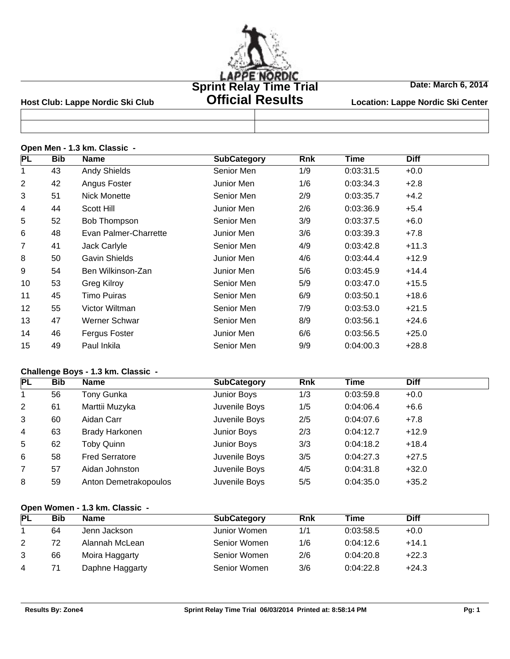

# **Official Results**

**Date: March 6, 2014**

Host Club: Lappe Nordic Ski Club **Citicial Results** Location: Lappe Nordic Ski Center

|  |  |  |  | Open Men - 1.3 km. Classic - |  |
|--|--|--|--|------------------------------|--|
|--|--|--|--|------------------------------|--|

| <b>PL</b> | <b>Bib</b> | <b>Name</b>           | <b>SubCategory</b> | <b>Rnk</b> | <b>Time</b> | <b>Diff</b> |  |
|-----------|------------|-----------------------|--------------------|------------|-------------|-------------|--|
| 1         | 43         | <b>Andy Shields</b>   | Senior Men         | 1/9        | 0:03:31.5   | $+0.0$      |  |
| 2         | 42         | Angus Foster          | Junior Men         | 1/6        | 0:03:34.3   | $+2.8$      |  |
| 3         | 51         | Nick Monette          | Senior Men         | 2/9        | 0:03:35.7   | $+4.2$      |  |
| 4         | 44         | Scott Hill            | Junior Men         | 2/6        | 0:03:36.9   | $+5.4$      |  |
| 5         | 52         | Bob Thompson          | Senior Men         | 3/9        | 0:03:37.5   | $+6.0$      |  |
| 6         | 48         | Evan Palmer-Charrette | Junior Men         | 3/6        | 0:03:39.3   | $+7.8$      |  |
| 7         | 41         | Jack Carlyle          | Senior Men         | 4/9        | 0:03:42.8   | $+11.3$     |  |
| 8         | 50         | Gavin Shields         | Junior Men         | 4/6        | 0:03:44.4   | $+12.9$     |  |
| 9         | 54         | Ben Wilkinson-Zan     | Junior Men         | 5/6        | 0:03:45.9   | $+14.4$     |  |
| 10        | 53         | Greg Kilroy           | Senior Men         | 5/9        | 0:03:47.0   | $+15.5$     |  |
| 11        | 45         | Timo Puiras           | Senior Men         | 6/9        | 0:03:50.1   | $+18.6$     |  |
| 12        | 55         | Victor Wiltman        | Senior Men         | 7/9        | 0:03:53.0   | $+21.5$     |  |
| 13        | 47         | Werner Schwar         | Senior Men         | 8/9        | 0:03:56.1   | $+24.6$     |  |
| 14        | 46         | Fergus Foster         | Junior Men         | 6/6        | 0:03:56.5   | $+25.0$     |  |
| 15        | 49         | Paul Inkila           | Senior Men         | 9/9        | 0:04:00.3   | $+28.8$     |  |
|           |            |                       |                    |            |             |             |  |

### **Challenge Boys - 1.3 km. Classic -**

| PL             | <b>Bib</b> | <b>Name</b>           | <b>SubCategory</b> | <b>Rnk</b> | Time      | <b>Diff</b> |  |
|----------------|------------|-----------------------|--------------------|------------|-----------|-------------|--|
|                | 56         | Tony Gunka            | Junior Boys        | 1/3        | 0:03:59.8 | $+0.0$      |  |
| 2              | 61         | Marttii Muzyka        | Juvenile Boys      | 1/5        | 0:04:06.4 | $+6.6$      |  |
| 3              | 60         | Aidan Carr            | Juvenile Boys      | 2/5        | 0:04:07.6 | $+7.8$      |  |
| $\overline{4}$ | 63         | <b>Brady Harkonen</b> | Junior Boys        | 2/3        | 0:04:12.7 | $+12.9$     |  |
| 5              | 62         | <b>Toby Quinn</b>     | Junior Boys        | 3/3        | 0:04:18.2 | $+18.4$     |  |
| 6              | 58         | <b>Fred Serratore</b> | Juvenile Boys      | 3/5        | 0:04:27.3 | $+27.5$     |  |
| $\overline{7}$ | 57         | Aidan Johnston        | Juvenile Boys      | 4/5        | 0:04:31.8 | $+32.0$     |  |
| 8              | 59         | Anton Demetrakopoulos | Juvenile Boys      | 5/5        | 0:04:35.0 | $+35.2$     |  |

### **Open Women - 1.3 km. Classic -**

| <b>PL</b> | Bib | Name            | <b>SubCategory</b> | <b>Rnk</b> | Time      | <b>Diff</b> |
|-----------|-----|-----------------|--------------------|------------|-----------|-------------|
|           | 64  | Jenn Jackson    | Junior Women       | 1/1        | 0:03:58.5 | $+0.0$      |
| 2         | 72  | Alannah McLean  | Senior Women       | 1/6        | 0:04:12.6 | $+14.1$     |
| 3         | 66  | Moira Haggarty  | Senior Women       | 2/6        | 0:04:20.8 | $+22.3$     |
| 4         |     | Daphne Haggarty | Senior Women       | 3/6        | 0:04:22.8 | $+24.3$     |